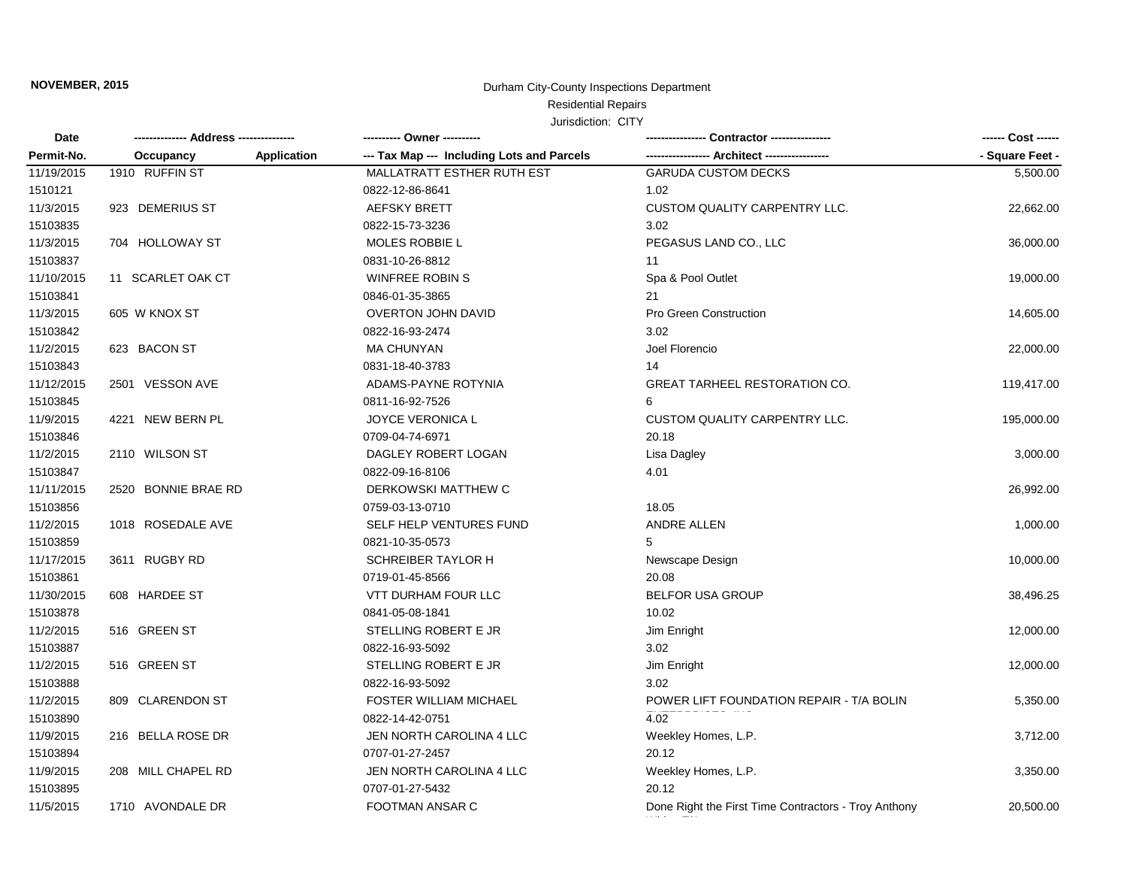# Residential Repairs

| Date       |                     |                    | ---------- Owner ----------                |                                                      | ------ Cost ------ |
|------------|---------------------|--------------------|--------------------------------------------|------------------------------------------------------|--------------------|
| Permit-No. | Occupancy           | <b>Application</b> | --- Tax Map --- Including Lots and Parcels | ----------------- Architect ----------------         | - Square Feet -    |
| 11/19/2015 | 1910 RUFFIN ST      |                    | MALLATRATT ESTHER RUTH EST                 | <b>GARUDA CUSTOM DECKS</b>                           | 5,500.00           |
| 1510121    |                     |                    | 0822-12-86-8641                            | 1.02                                                 |                    |
| 11/3/2015  | 923 DEMERIUS ST     |                    | <b>AEFSKY BRETT</b>                        | <b>CUSTOM QUALITY CARPENTRY LLC.</b>                 | 22,662.00          |
| 15103835   |                     |                    | 0822-15-73-3236                            | 3.02                                                 |                    |
| 11/3/2015  | 704 HOLLOWAY ST     |                    | <b>MOLES ROBBIE L</b>                      | PEGASUS LAND CO., LLC                                | 36,000.00          |
| 15103837   |                     |                    | 0831-10-26-8812                            | 11                                                   |                    |
| 11/10/2015 | 11 SCARLET OAK CT   |                    | <b>WINFREE ROBIN S</b>                     | Spa & Pool Outlet                                    | 19,000.00          |
| 15103841   |                     |                    | 0846-01-35-3865                            | 21                                                   |                    |
| 11/3/2015  | 605 W KNOX ST       |                    | <b>OVERTON JOHN DAVID</b>                  | Pro Green Construction                               | 14,605.00          |
| 15103842   |                     |                    | 0822-16-93-2474                            | 3.02                                                 |                    |
| 11/2/2015  | 623 BACON ST        |                    | <b>MA CHUNYAN</b>                          | Joel Florencio                                       | 22,000.00          |
| 15103843   |                     |                    | 0831-18-40-3783                            | 14                                                   |                    |
| 11/12/2015 | 2501 VESSON AVE     |                    | ADAMS-PAYNE ROTYNIA                        | <b>GREAT TARHEEL RESTORATION CO.</b>                 | 119,417.00         |
| 15103845   |                     |                    | 0811-16-92-7526                            | 6                                                    |                    |
| 11/9/2015  | 4221 NEW BERN PL    |                    | JOYCE VERONICA L                           | <b>CUSTOM QUALITY CARPENTRY LLC.</b>                 | 195,000.00         |
| 15103846   |                     |                    | 0709-04-74-6971                            | 20.18                                                |                    |
| 11/2/2015  | 2110 WILSON ST      |                    | DAGLEY ROBERT LOGAN                        | Lisa Dagley                                          | 3,000.00           |
| 15103847   |                     |                    | 0822-09-16-8106                            | 4.01                                                 |                    |
| 11/11/2015 | 2520 BONNIE BRAE RD |                    | DERKOWSKI MATTHEW C                        |                                                      | 26,992.00          |
| 15103856   |                     |                    | 0759-03-13-0710                            | 18.05                                                |                    |
| 11/2/2015  | 1018 ROSEDALE AVE   |                    | SELF HELP VENTURES FUND                    | ANDRE ALLEN                                          | 1,000.00           |
| 15103859   |                     |                    | 0821-10-35-0573                            | 5                                                    |                    |
| 11/17/2015 | 3611 RUGBY RD       |                    | <b>SCHREIBER TAYLOR H</b>                  | Newscape Design                                      | 10,000.00          |
| 15103861   |                     |                    | 0719-01-45-8566                            | 20.08                                                |                    |
| 11/30/2015 | 608 HARDEE ST       |                    | <b>VTT DURHAM FOUR LLC</b>                 | <b>BELFOR USA GROUP</b>                              | 38,496.25          |
| 15103878   |                     |                    | 0841-05-08-1841                            | 10.02                                                |                    |
| 11/2/2015  | 516 GREEN ST        |                    | STELLING ROBERT E JR                       | Jim Enright                                          | 12,000.00          |
| 15103887   |                     |                    | 0822-16-93-5092                            | 3.02                                                 |                    |
| 11/2/2015  | 516 GREEN ST        |                    | STELLING ROBERT E JR                       | Jim Enright                                          | 12,000.00          |
| 15103888   |                     |                    | 0822-16-93-5092                            | 3.02                                                 |                    |
| 11/2/2015  | 809 CLARENDON ST    |                    | <b>FOSTER WILLIAM MICHAEL</b>              | POWER LIFT FOUNDATION REPAIR - T/A BOLIN             | 5,350.00           |
| 15103890   |                     |                    | 0822-14-42-0751                            | 4.02                                                 |                    |
| 11/9/2015  | 216 BELLA ROSE DR   |                    | JEN NORTH CAROLINA 4 LLC                   | Weekley Homes, L.P.                                  | 3,712.00           |
| 15103894   |                     |                    | 0707-01-27-2457                            | 20.12                                                |                    |
| 11/9/2015  | 208 MILL CHAPEL RD  |                    | JEN NORTH CAROLINA 4 LLC                   | Weekley Homes, L.P.                                  | 3,350.00           |
| 15103895   |                     |                    | 0707-01-27-5432                            | 20.12                                                |                    |
| 11/5/2015  | 1710 AVONDALE DR    |                    | <b>FOOTMAN ANSAR C</b>                     | Done Right the First Time Contractors - Troy Anthony | 20,500.00          |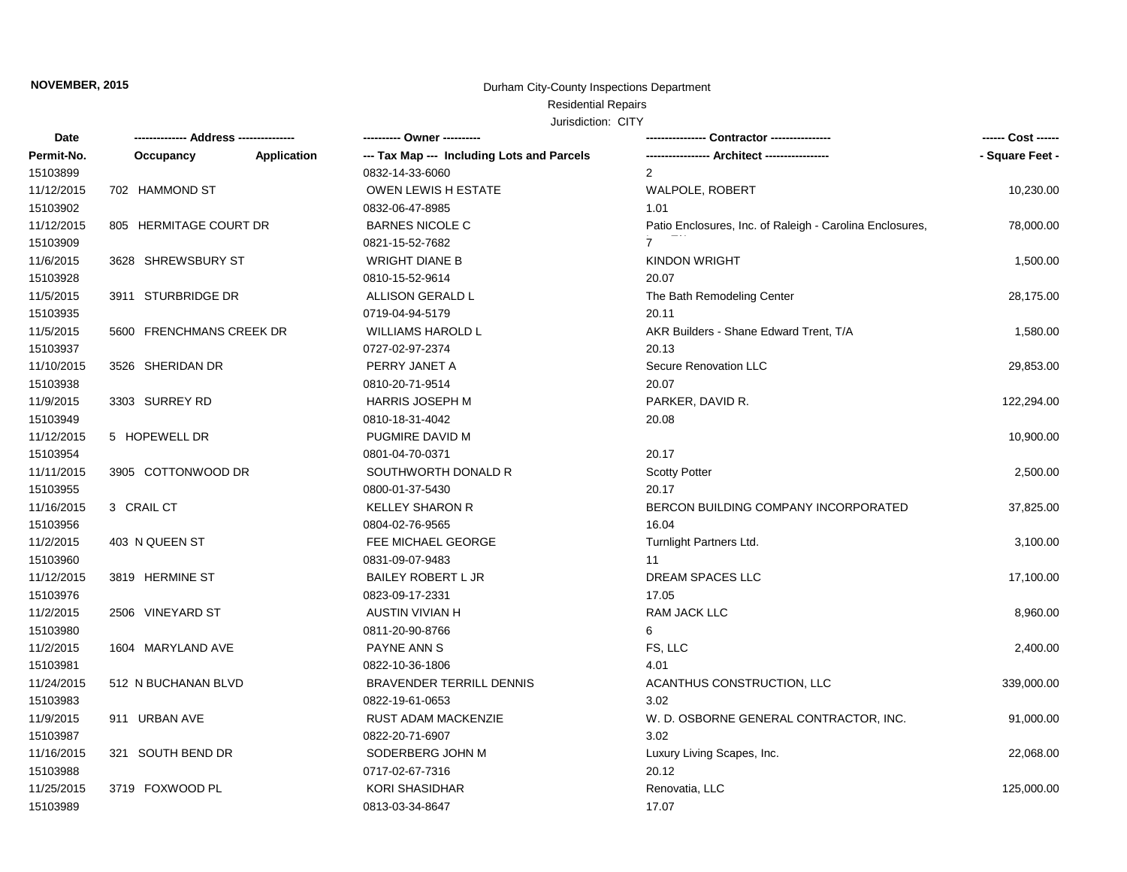# Residential Repairs

| Date       | -------------- Address --------------- |                    | ---------- Owner ----------                |                                                          | ------ Cost ------ |
|------------|----------------------------------------|--------------------|--------------------------------------------|----------------------------------------------------------|--------------------|
| Permit-No. | Occupancy                              | <b>Application</b> | --- Tax Map --- Including Lots and Parcels |                                                          | - Square Feet -    |
| 15103899   |                                        |                    | 0832-14-33-6060                            | 2                                                        |                    |
| 11/12/2015 | 702 HAMMOND ST                         |                    | <b>OWEN LEWIS H ESTATE</b>                 | WALPOLE, ROBERT                                          | 10,230.00          |
| 15103902   |                                        |                    | 0832-06-47-8985                            | 1.01                                                     |                    |
| 11/12/2015 | 805 HERMITAGE COURT DR                 |                    | <b>BARNES NICOLE C</b>                     | Patio Enclosures, Inc. of Raleigh - Carolina Enclosures, | 78,000.00          |
| 15103909   |                                        |                    | 0821-15-52-7682                            | $\overline{7}$                                           |                    |
| 11/6/2015  | 3628 SHREWSBURY ST                     |                    | <b>WRIGHT DIANE B</b>                      | <b>KINDON WRIGHT</b>                                     | 1,500.00           |
| 15103928   |                                        |                    | 0810-15-52-9614                            | 20.07                                                    |                    |
| 11/5/2015  | 3911 STURBRIDGE DR                     |                    | ALLISON GERALD L                           | The Bath Remodeling Center                               | 28,175.00          |
| 15103935   |                                        |                    | 0719-04-94-5179                            | 20.11                                                    |                    |
| 11/5/2015  | 5600 FRENCHMANS CREEK DR               |                    | <b>WILLIAMS HAROLD L</b>                   | AKR Builders - Shane Edward Trent, T/A                   | 1,580.00           |
| 15103937   |                                        |                    | 0727-02-97-2374                            | 20.13                                                    |                    |
| 11/10/2015 | 3526 SHERIDAN DR                       |                    | PERRY JANET A                              | Secure Renovation LLC                                    | 29,853.00          |
| 15103938   |                                        |                    | 0810-20-71-9514                            | 20.07                                                    |                    |
| 11/9/2015  | 3303 SURREY RD                         |                    | <b>HARRIS JOSEPH M</b>                     | PARKER, DAVID R.                                         | 122,294.00         |
| 15103949   |                                        |                    | 0810-18-31-4042                            | 20.08                                                    |                    |
| 11/12/2015 | 5 HOPEWELL DR                          |                    | PUGMIRE DAVID M                            |                                                          | 10,900.00          |
| 15103954   |                                        |                    | 0801-04-70-0371                            | 20.17                                                    |                    |
| 11/11/2015 | 3905 COTTONWOOD DR                     |                    | SOUTHWORTH DONALD R                        | <b>Scotty Potter</b>                                     | 2,500.00           |
| 15103955   |                                        |                    | 0800-01-37-5430                            | 20.17                                                    |                    |
| 11/16/2015 | 3 CRAIL CT                             |                    | <b>KELLEY SHARON R</b>                     | BERCON BUILDING COMPANY INCORPORATED                     | 37,825.00          |
| 15103956   |                                        |                    | 0804-02-76-9565                            | 16.04                                                    |                    |
| 11/2/2015  | 403 N QUEEN ST                         |                    | FEE MICHAEL GEORGE                         | Turnlight Partners Ltd.                                  | 3,100.00           |
| 15103960   |                                        |                    | 0831-09-07-9483                            | 11                                                       |                    |
| 11/12/2015 | 3819 HERMINE ST                        |                    | <b>BAILEY ROBERT L JR</b>                  | DREAM SPACES LLC                                         | 17,100.00          |
| 15103976   |                                        |                    | 0823-09-17-2331                            | 17.05                                                    |                    |
| 11/2/2015  | 2506 VINEYARD ST                       |                    | <b>AUSTIN VIVIAN H</b>                     | <b>RAM JACK LLC</b>                                      | 8,960.00           |
| 15103980   |                                        |                    | 0811-20-90-8766                            | 6                                                        |                    |
| 11/2/2015  | 1604 MARYLAND AVE                      |                    | PAYNE ANN S                                | FS, LLC                                                  | 2,400.00           |
| 15103981   |                                        |                    | 0822-10-36-1806                            | 4.01                                                     |                    |
| 11/24/2015 | 512 N BUCHANAN BLVD                    |                    | <b>BRAVENDER TERRILL DENNIS</b>            | ACANTHUS CONSTRUCTION, LLC                               | 339,000.00         |
| 15103983   |                                        |                    | 0822-19-61-0653                            | 3.02                                                     |                    |
| 11/9/2015  | 911 URBAN AVE                          |                    | <b>RUST ADAM MACKENZIE</b>                 | W. D. OSBORNE GENERAL CONTRACTOR, INC.                   | 91,000.00          |
| 15103987   |                                        |                    | 0822-20-71-6907                            | 3.02                                                     |                    |
| 11/16/2015 | 321 SOUTH BEND DR                      |                    | SODERBERG JOHN M                           | Luxury Living Scapes, Inc.                               | 22,068.00          |
| 15103988   |                                        |                    | 0717-02-67-7316                            | 20.12                                                    |                    |
| 11/25/2015 | 3719 FOXWOOD PL                        |                    | <b>KORI SHASIDHAR</b>                      | Renovatia, LLC                                           | 125,000.00         |
| 15103989   |                                        |                    | 0813-03-34-8647                            | 17.07                                                    |                    |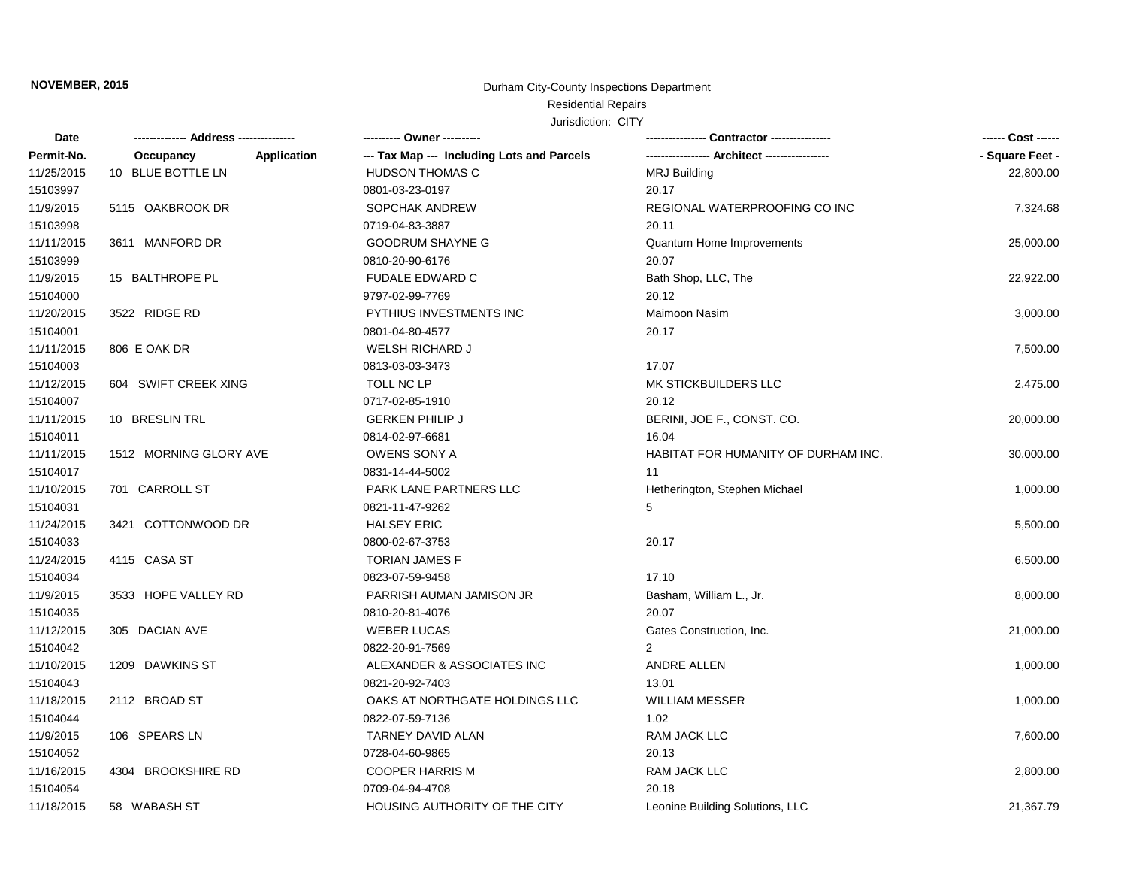# Residential Repairs

| Date       |                                 | ---------- Owner ----------                |                                     | ------ Cost ------ |
|------------|---------------------------------|--------------------------------------------|-------------------------------------|--------------------|
| Permit-No. | <b>Application</b><br>Occupancy | --- Tax Map --- Including Lots and Parcels |                                     | - Square Feet -    |
| 11/25/2015 | 10 BLUE BOTTLE LN               | <b>HUDSON THOMAS C</b>                     | <b>MRJ Building</b>                 | 22,800.00          |
| 15103997   |                                 | 0801-03-23-0197                            | 20.17                               |                    |
| 11/9/2015  | 5115 OAKBROOK DR                | <b>SOPCHAK ANDREW</b>                      | REGIONAL WATERPROOFING CO INC       | 7,324.68           |
| 15103998   |                                 | 0719-04-83-3887                            | 20.11                               |                    |
| 11/11/2015 | 3611 MANFORD DR                 | <b>GOODRUM SHAYNE G</b>                    | Quantum Home Improvements           | 25,000.00          |
| 15103999   |                                 | 0810-20-90-6176                            | 20.07                               |                    |
| 11/9/2015  | 15 BALTHROPE PL                 | <b>FUDALE EDWARD C</b>                     | Bath Shop, LLC, The                 | 22,922.00          |
| 15104000   |                                 | 9797-02-99-7769                            | 20.12                               |                    |
| 11/20/2015 | 3522 RIDGE RD                   | PYTHIUS INVESTMENTS INC                    | Maimoon Nasim                       | 3,000.00           |
| 15104001   |                                 | 0801-04-80-4577                            | 20.17                               |                    |
| 11/11/2015 | 806 E OAK DR                    | <b>WELSH RICHARD J</b>                     |                                     | 7,500.00           |
| 15104003   |                                 | 0813-03-03-3473                            | 17.07                               |                    |
| 11/12/2015 | 604 SWIFT CREEK XING            | TOLL NC LP                                 | MK STICKBUILDERS LLC                | 2,475.00           |
| 15104007   |                                 | 0717-02-85-1910                            | 20.12                               |                    |
| 11/11/2015 | 10 BRESLIN TRL                  | <b>GERKEN PHILIP J</b>                     | BERINI, JOE F., CONST. CO.          | 20,000.00          |
| 15104011   |                                 | 0814-02-97-6681                            | 16.04                               |                    |
| 11/11/2015 | 1512 MORNING GLORY AVE          | OWENS SONY A                               | HABITAT FOR HUMANITY OF DURHAM INC. | 30,000.00          |
| 15104017   |                                 | 0831-14-44-5002                            | 11                                  |                    |
| 11/10/2015 | 701 CARROLL ST                  | PARK LANE PARTNERS LLC                     | Hetherington, Stephen Michael       | 1,000.00           |
| 15104031   |                                 | 0821-11-47-9262                            | 5                                   |                    |
| 11/24/2015 | 3421 COTTONWOOD DR              | <b>HALSEY ERIC</b>                         |                                     | 5,500.00           |
| 15104033   |                                 | 0800-02-67-3753                            | 20.17                               |                    |
| 11/24/2015 | 4115 CASA ST                    | <b>TORIAN JAMES F</b>                      |                                     | 6,500.00           |
| 15104034   |                                 | 0823-07-59-9458                            | 17.10                               |                    |
| 11/9/2015  | 3533 HOPE VALLEY RD             | PARRISH AUMAN JAMISON JR                   | Basham, William L., Jr.             | 8,000.00           |
| 15104035   |                                 | 0810-20-81-4076                            | 20.07                               |                    |
| 11/12/2015 | 305 DACIAN AVE                  | <b>WEBER LUCAS</b>                         | Gates Construction, Inc.            | 21,000.00          |
| 15104042   |                                 | 0822-20-91-7569                            | 2                                   |                    |
| 11/10/2015 | 1209 DAWKINS ST                 | ALEXANDER & ASSOCIATES INC                 | <b>ANDRE ALLEN</b>                  | 1,000.00           |
| 15104043   |                                 | 0821-20-92-7403                            | 13.01                               |                    |
| 11/18/2015 | 2112 BROAD ST                   | OAKS AT NORTHGATE HOLDINGS LLC             | <b>WILLIAM MESSER</b>               | 1,000.00           |
| 15104044   |                                 | 0822-07-59-7136                            | 1.02                                |                    |
| 11/9/2015  | 106 SPEARS LN                   | TARNEY DAVID ALAN                          | RAM JACK LLC                        | 7,600.00           |
| 15104052   |                                 | 0728-04-60-9865                            | 20.13                               |                    |
| 11/16/2015 | 4304 BROOKSHIRE RD              | <b>COOPER HARRIS M</b>                     | RAM JACK LLC                        | 2,800.00           |
| 15104054   |                                 | 0709-04-94-4708                            | 20.18                               |                    |
| 11/18/2015 | 58 WABASH ST                    | HOUSING AUTHORITY OF THE CITY              | Leonine Building Solutions, LLC     | 21,367.79          |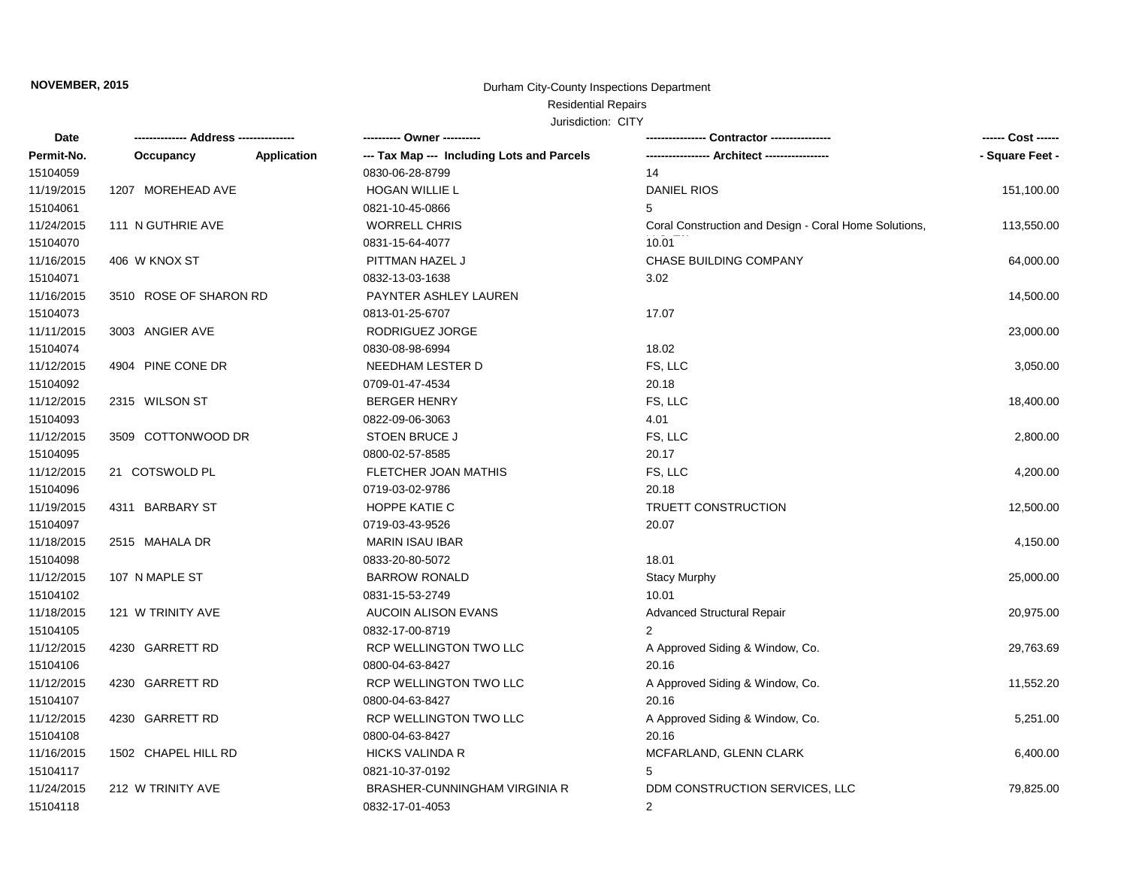# Residential Repairs

| Date       |                        |                    | ---------- Owner ----------                | -- Contractor ----------------                        | ------ Cost ------ |
|------------|------------------------|--------------------|--------------------------------------------|-------------------------------------------------------|--------------------|
| Permit-No. | Occupancy              | <b>Application</b> | --- Tax Map --- Including Lots and Parcels |                                                       | - Square Feet -    |
| 15104059   |                        |                    | 0830-06-28-8799                            | 14                                                    |                    |
| 11/19/2015 | 1207 MOREHEAD AVE      |                    | <b>HOGAN WILLIE L</b>                      | <b>DANIEL RIOS</b>                                    | 151,100.00         |
| 15104061   |                        |                    | 0821-10-45-0866                            | 5                                                     |                    |
| 11/24/2015 | 111 N GUTHRIE AVE      |                    | <b>WORRELL CHRIS</b>                       | Coral Construction and Design - Coral Home Solutions, | 113,550.00         |
| 15104070   |                        |                    | 0831-15-64-4077                            | 10.01                                                 |                    |
| 11/16/2015 | 406 W KNOX ST          |                    | PITTMAN HAZEL J                            | CHASE BUILDING COMPANY                                | 64,000.00          |
| 15104071   |                        |                    | 0832-13-03-1638                            | 3.02                                                  |                    |
| 11/16/2015 | 3510 ROSE OF SHARON RD |                    | PAYNTER ASHLEY LAUREN                      |                                                       | 14,500.00          |
| 15104073   |                        |                    | 0813-01-25-6707                            | 17.07                                                 |                    |
| 11/11/2015 | 3003 ANGIER AVE        |                    | RODRIGUEZ JORGE                            |                                                       | 23,000.00          |
| 15104074   |                        |                    | 0830-08-98-6994                            | 18.02                                                 |                    |
| 11/12/2015 | 4904 PINE CONE DR      |                    | NEEDHAM LESTER D                           | FS, LLC                                               | 3,050.00           |
| 15104092   |                        |                    | 0709-01-47-4534                            | 20.18                                                 |                    |
| 11/12/2015 | 2315 WILSON ST         |                    | <b>BERGER HENRY</b>                        | FS, LLC                                               | 18,400.00          |
| 15104093   |                        |                    | 0822-09-06-3063                            | 4.01                                                  |                    |
| 11/12/2015 | 3509 COTTONWOOD DR     |                    | <b>STOEN BRUCE J</b>                       | FS, LLC                                               | 2,800.00           |
| 15104095   |                        |                    | 0800-02-57-8585                            | 20.17                                                 |                    |
| 11/12/2015 | 21 COTSWOLD PL         |                    | FLETCHER JOAN MATHIS                       | FS, LLC                                               | 4,200.00           |
| 15104096   |                        |                    | 0719-03-02-9786                            | 20.18                                                 |                    |
| 11/19/2015 | 4311 BARBARY ST        |                    | HOPPE KATIE C                              | <b>TRUETT CONSTRUCTION</b>                            | 12,500.00          |
| 15104097   |                        |                    | 0719-03-43-9526                            | 20.07                                                 |                    |
| 11/18/2015 | 2515 MAHALA DR         |                    | <b>MARIN ISAU IBAR</b>                     |                                                       | 4,150.00           |
| 15104098   |                        |                    | 0833-20-80-5072                            | 18.01                                                 |                    |
| 11/12/2015 | 107 N MAPLE ST         |                    | <b>BARROW RONALD</b>                       | <b>Stacy Murphy</b>                                   | 25,000.00          |
| 15104102   |                        |                    | 0831-15-53-2749                            | 10.01                                                 |                    |
| 11/18/2015 | 121 W TRINITY AVE      |                    | AUCOIN ALISON EVANS                        | Advanced Structural Repair                            | 20,975.00          |
| 15104105   |                        |                    | 0832-17-00-8719                            | 2                                                     |                    |
| 11/12/2015 | 4230 GARRETT RD        |                    | RCP WELLINGTON TWO LLC                     | A Approved Siding & Window, Co.                       | 29,763.69          |
| 15104106   |                        |                    | 0800-04-63-8427                            | 20.16                                                 |                    |
| 11/12/2015 | 4230 GARRETT RD        |                    | RCP WELLINGTON TWO LLC                     | A Approved Siding & Window, Co.                       | 11,552.20          |
| 15104107   |                        |                    | 0800-04-63-8427                            | 20.16                                                 |                    |
| 11/12/2015 | 4230 GARRETT RD        |                    | RCP WELLINGTON TWO LLC                     | A Approved Siding & Window, Co.                       | 5,251.00           |
| 15104108   |                        |                    | 0800-04-63-8427                            | 20.16                                                 |                    |
| 11/16/2015 | 1502 CHAPEL HILL RD    |                    | <b>HICKS VALINDA R</b>                     | MCFARLAND, GLENN CLARK                                | 6,400.00           |
| 15104117   |                        |                    | 0821-10-37-0192                            |                                                       |                    |
| 11/24/2015 | 212 W TRINITY AVE      |                    | BRASHER-CUNNINGHAM VIRGINIA R              | DDM CONSTRUCTION SERVICES, LLC                        | 79,825.00          |
| 15104118   |                        |                    | 0832-17-01-4053                            | 2                                                     |                    |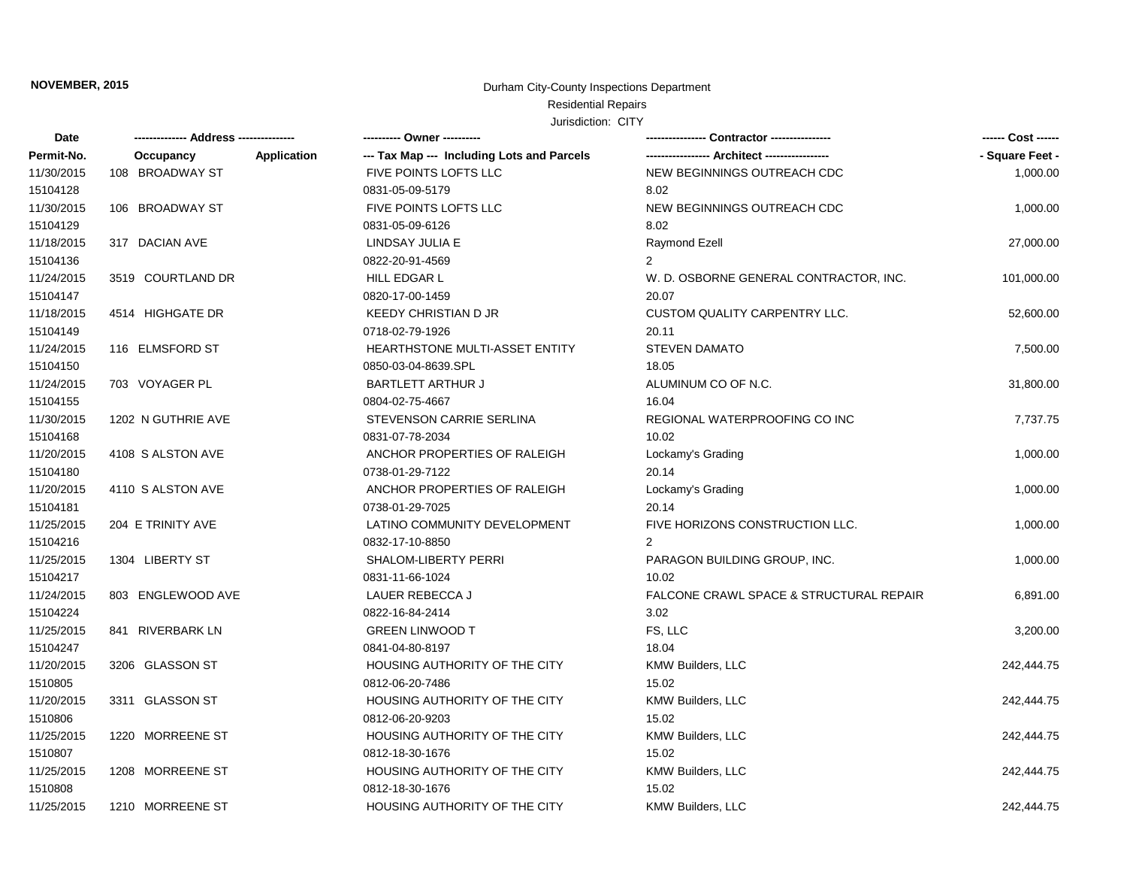# Residential Repairs

| Date       |                    |                    | ---------- Owner ----------                |                                         |                 |
|------------|--------------------|--------------------|--------------------------------------------|-----------------------------------------|-----------------|
| Permit-No. | Occupancy          | <b>Application</b> | --- Tax Map --- Including Lots and Parcels |                                         | - Square Feet - |
| 11/30/2015 | 108 BROADWAY ST    |                    | FIVE POINTS LOFTS LLC                      | NEW BEGINNINGS OUTREACH CDC             | 1,000.00        |
| 15104128   |                    |                    | 0831-05-09-5179                            | 8.02                                    |                 |
| 11/30/2015 | 106 BROADWAY ST    |                    | FIVE POINTS LOFTS LLC                      | NEW BEGINNINGS OUTREACH CDC             | 1,000.00        |
| 15104129   |                    |                    | 0831-05-09-6126                            | 8.02                                    |                 |
| 11/18/2015 | 317 DACIAN AVE     |                    | LINDSAY JULIA E                            | Raymond Ezell                           | 27,000.00       |
| 15104136   |                    |                    | 0822-20-91-4569                            | $\overline{2}$                          |                 |
| 11/24/2015 | 3519 COURTLAND DR  |                    | HILL EDGAR L                               | W. D. OSBORNE GENERAL CONTRACTOR, INC.  | 101,000.00      |
| 15104147   |                    |                    | 0820-17-00-1459                            | 20.07                                   |                 |
| 11/18/2015 | 4514 HIGHGATE DR   |                    | <b>KEEDY CHRISTIAN D JR</b>                | CUSTOM QUALITY CARPENTRY LLC.           | 52,600.00       |
| 15104149   |                    |                    | 0718-02-79-1926                            | 20.11                                   |                 |
| 11/24/2015 | 116 ELMSFORD ST    |                    | HEARTHSTONE MULTI-ASSET ENTITY             | <b>STEVEN DAMATO</b>                    | 7,500.00        |
| 15104150   |                    |                    | 0850-03-04-8639.SPL                        | 18.05                                   |                 |
| 11/24/2015 | 703 VOYAGER PL     |                    | <b>BARTLETT ARTHUR J</b>                   | ALUMINUM CO OF N.C.                     | 31,800.00       |
| 15104155   |                    |                    | 0804-02-75-4667                            | 16.04                                   |                 |
| 11/30/2015 | 1202 N GUTHRIE AVE |                    | STEVENSON CARRIE SERLINA                   | REGIONAL WATERPROOFING CO INC           | 7,737.75        |
| 15104168   |                    |                    | 0831-07-78-2034                            | 10.02                                   |                 |
| 11/20/2015 | 4108 S ALSTON AVE  |                    | ANCHOR PROPERTIES OF RALEIGH               | Lockamy's Grading                       | 1,000.00        |
| 15104180   |                    |                    | 0738-01-29-7122                            | 20.14                                   |                 |
| 11/20/2015 | 4110 S ALSTON AVE  |                    | ANCHOR PROPERTIES OF RALEIGH               | Lockamy's Grading                       | 1,000.00        |
| 15104181   |                    |                    | 0738-01-29-7025                            | 20.14                                   |                 |
| 11/25/2015 | 204 E TRINITY AVE  |                    | LATINO COMMUNITY DEVELOPMENT               | FIVE HORIZONS CONSTRUCTION LLC.         | 1,000.00        |
| 15104216   |                    |                    | 0832-17-10-8850                            | $\overline{2}$                          |                 |
| 11/25/2015 | 1304 LIBERTY ST    |                    | <b>SHALOM-LIBERTY PERRI</b>                | PARAGON BUILDING GROUP, INC.            | 1,000.00        |
| 15104217   |                    |                    | 0831-11-66-1024                            | 10.02                                   |                 |
| 11/24/2015 | 803 ENGLEWOOD AVE  |                    | LAUER REBECCA J                            | FALCONE CRAWL SPACE & STRUCTURAL REPAIR | 6,891.00        |
| 15104224   |                    |                    | 0822-16-84-2414                            | 3.02                                    |                 |
| 11/25/2015 | 841 RIVERBARK LN   |                    | <b>GREEN LINWOOD T</b>                     | FS, LLC                                 | 3,200.00        |
| 15104247   |                    |                    | 0841-04-80-8197                            | 18.04                                   |                 |
| 11/20/2015 | 3206 GLASSON ST    |                    | HOUSING AUTHORITY OF THE CITY              | KMW Builders, LLC                       | 242,444.75      |
| 1510805    |                    |                    | 0812-06-20-7486                            | 15.02                                   |                 |
| 11/20/2015 | 3311 GLASSON ST    |                    | HOUSING AUTHORITY OF THE CITY              | KMW Builders, LLC                       | 242,444.75      |
| 1510806    |                    |                    | 0812-06-20-9203                            | 15.02                                   |                 |
| 11/25/2015 | 1220 MORREENE ST   |                    | HOUSING AUTHORITY OF THE CITY              | KMW Builders, LLC                       | 242,444.75      |
| 1510807    |                    |                    | 0812-18-30-1676                            | 15.02                                   |                 |
| 11/25/2015 | 1208 MORREENE ST   |                    | HOUSING AUTHORITY OF THE CITY              | KMW Builders, LLC                       | 242,444.75      |
| 1510808    |                    |                    | 0812-18-30-1676                            | 15.02                                   |                 |
| 11/25/2015 | 1210 MORREENE ST   |                    | HOUSING AUTHORITY OF THE CITY              | <b>KMW Builders, LLC</b>                | 242.444.75      |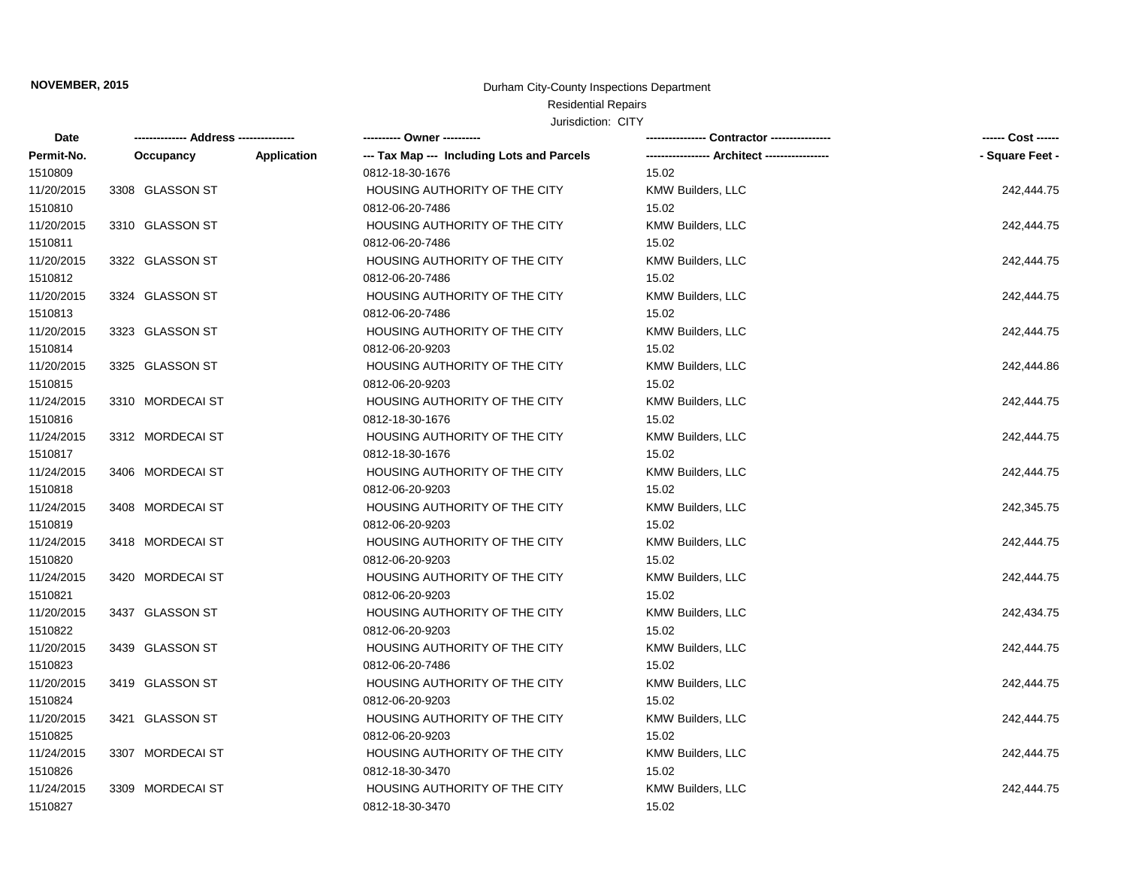#### Residential Repairs

| Date       |                  |             | ---------- Owner ----------                |                          | ------ Cost ------ |
|------------|------------------|-------------|--------------------------------------------|--------------------------|--------------------|
| Permit-No. | Occupancy        | Application | --- Tax Map --- Including Lots and Parcels |                          | - Square Feet -    |
| 1510809    |                  |             | 0812-18-30-1676                            | 15.02                    |                    |
| 11/20/2015 | 3308 GLASSON ST  |             | HOUSING AUTHORITY OF THE CITY              | KMW Builders, LLC        | 242,444.75         |
| 1510810    |                  |             | 0812-06-20-7486                            | 15.02                    |                    |
| 11/20/2015 | 3310 GLASSON ST  |             | HOUSING AUTHORITY OF THE CITY              | <b>KMW Builders, LLC</b> | 242,444.75         |
| 1510811    |                  |             | 0812-06-20-7486                            | 15.02                    |                    |
| 11/20/2015 | 3322 GLASSON ST  |             | HOUSING AUTHORITY OF THE CITY              | KMW Builders, LLC        | 242,444.75         |
| 1510812    |                  |             | 0812-06-20-7486                            | 15.02                    |                    |
| 11/20/2015 | 3324 GLASSON ST  |             | HOUSING AUTHORITY OF THE CITY              | KMW Builders, LLC        | 242,444.75         |
| 1510813    |                  |             | 0812-06-20-7486                            | 15.02                    |                    |
| 11/20/2015 | 3323 GLASSON ST  |             | HOUSING AUTHORITY OF THE CITY              | KMW Builders, LLC        | 242,444.75         |
| 1510814    |                  |             | 0812-06-20-9203                            | 15.02                    |                    |
| 11/20/2015 | 3325 GLASSON ST  |             | HOUSING AUTHORITY OF THE CITY              | KMW Builders, LLC        | 242,444.86         |
| 1510815    |                  |             | 0812-06-20-9203                            | 15.02                    |                    |
| 11/24/2015 | 3310 MORDECAI ST |             | HOUSING AUTHORITY OF THE CITY              | KMW Builders, LLC        | 242,444.75         |
| 1510816    |                  |             | 0812-18-30-1676                            | 15.02                    |                    |
| 11/24/2015 | 3312 MORDECAI ST |             | HOUSING AUTHORITY OF THE CITY              | <b>KMW Builders, LLC</b> | 242,444.75         |
| 1510817    |                  |             | 0812-18-30-1676                            | 15.02                    |                    |
| 11/24/2015 | 3406 MORDECAI ST |             | HOUSING AUTHORITY OF THE CITY              | KMW Builders, LLC        | 242,444.75         |
| 1510818    |                  |             | 0812-06-20-9203                            | 15.02                    |                    |
| 11/24/2015 | 3408 MORDECAI ST |             | HOUSING AUTHORITY OF THE CITY              | KMW Builders, LLC        | 242,345.75         |
| 1510819    |                  |             | 0812-06-20-9203                            | 15.02                    |                    |
| 11/24/2015 | 3418 MORDECAI ST |             | HOUSING AUTHORITY OF THE CITY              | KMW Builders, LLC        | 242,444.75         |
| 1510820    |                  |             | 0812-06-20-9203                            | 15.02                    |                    |
| 11/24/2015 | 3420 MORDECAI ST |             | HOUSING AUTHORITY OF THE CITY              | <b>KMW Builders, LLC</b> | 242,444.75         |
| 1510821    |                  |             | 0812-06-20-9203                            | 15.02                    |                    |
| 11/20/2015 | 3437 GLASSON ST  |             | HOUSING AUTHORITY OF THE CITY              | KMW Builders, LLC        | 242,434.75         |
| 1510822    |                  |             | 0812-06-20-9203                            | 15.02                    |                    |
| 11/20/2015 | 3439 GLASSON ST  |             | HOUSING AUTHORITY OF THE CITY              | KMW Builders, LLC        | 242,444.75         |
| 1510823    |                  |             | 0812-06-20-7486                            | 15.02                    |                    |
| 11/20/2015 | 3419 GLASSON ST  |             | HOUSING AUTHORITY OF THE CITY              | KMW Builders, LLC        | 242,444.75         |
| 1510824    |                  |             | 0812-06-20-9203                            | 15.02                    |                    |
| 11/20/2015 | 3421 GLASSON ST  |             | HOUSING AUTHORITY OF THE CITY              | KMW Builders, LLC        | 242,444.75         |
| 1510825    |                  |             | 0812-06-20-9203                            | 15.02                    |                    |
| 11/24/2015 | 3307 MORDECAI ST |             | HOUSING AUTHORITY OF THE CITY              | KMW Builders, LLC        | 242,444.75         |
| 1510826    |                  |             | 0812-18-30-3470                            | 15.02                    |                    |
| 11/24/2015 | 3309 MORDECAI ST |             | HOUSING AUTHORITY OF THE CITY              | <b>KMW Builders, LLC</b> | 242,444.75         |
| 1510827    |                  |             | 0812-18-30-3470                            | 15.02                    |                    |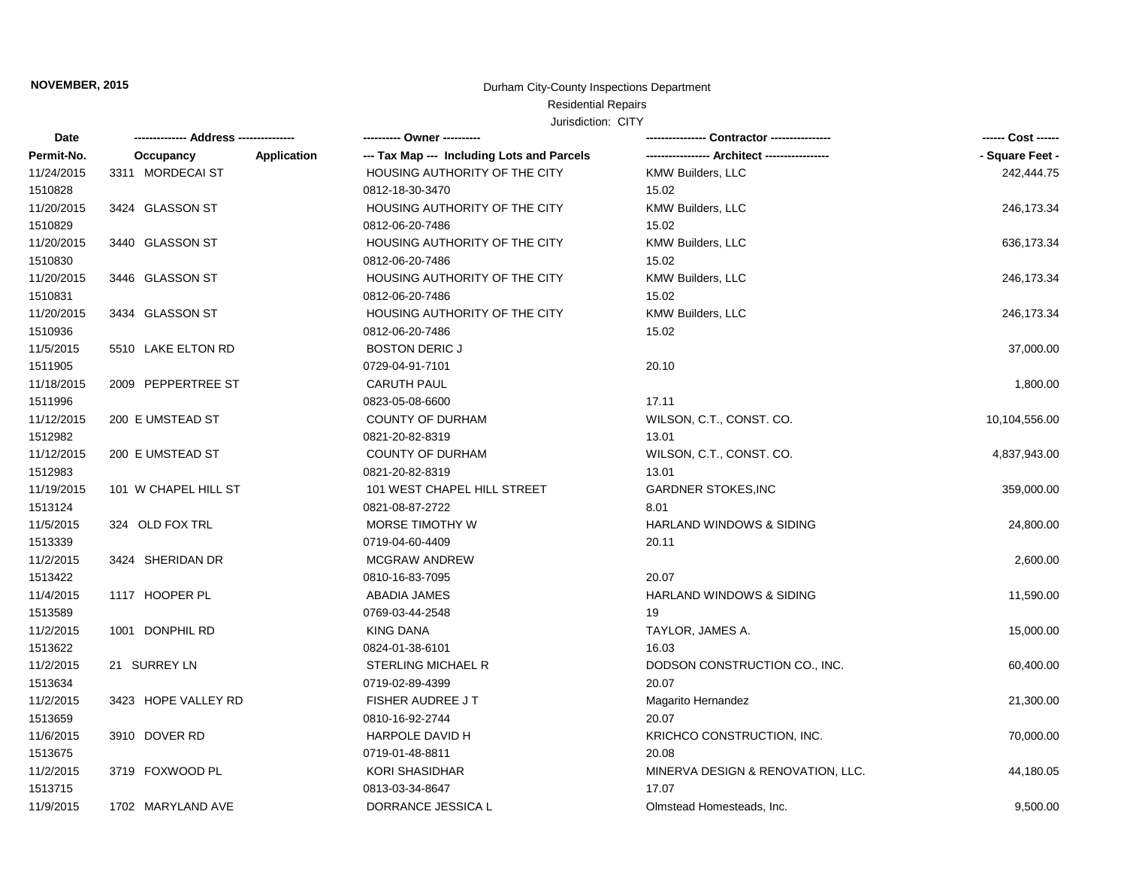#### Residential Repairs

| Date       |                                 | ---------- Owner ----------                |                                     | ------ Cost ------ |
|------------|---------------------------------|--------------------------------------------|-------------------------------------|--------------------|
| Permit-No. | Occupancy<br><b>Application</b> | --- Tax Map --- Including Lots and Parcels |                                     | - Square Feet -    |
| 11/24/2015 | 3311 MORDECAI ST                | HOUSING AUTHORITY OF THE CITY              | <b>KMW Builders, LLC</b>            | 242,444.75         |
| 1510828    |                                 | 0812-18-30-3470                            | 15.02                               |                    |
| 11/20/2015 | 3424 GLASSON ST                 | HOUSING AUTHORITY OF THE CITY              | KMW Builders, LLC                   | 246,173.34         |
| 1510829    |                                 | 0812-06-20-7486                            | 15.02                               |                    |
| 11/20/2015 | 3440 GLASSON ST                 | HOUSING AUTHORITY OF THE CITY              | KMW Builders, LLC                   | 636,173.34         |
| 1510830    |                                 | 0812-06-20-7486                            | 15.02                               |                    |
| 11/20/2015 | 3446 GLASSON ST                 | HOUSING AUTHORITY OF THE CITY              | <b>KMW Builders, LLC</b>            | 246,173.34         |
| 1510831    |                                 | 0812-06-20-7486                            | 15.02                               |                    |
| 11/20/2015 | 3434 GLASSON ST                 | HOUSING AUTHORITY OF THE CITY              | <b>KMW Builders, LLC</b>            | 246,173.34         |
| 1510936    |                                 | 0812-06-20-7486                            | 15.02                               |                    |
| 11/5/2015  | 5510 LAKE ELTON RD              | <b>BOSTON DERIC J</b>                      |                                     | 37,000.00          |
| 1511905    |                                 | 0729-04-91-7101                            | 20.10                               |                    |
| 11/18/2015 | 2009 PEPPERTREE ST              | <b>CARUTH PAUL</b>                         |                                     | 1,800.00           |
| 1511996    |                                 | 0823-05-08-6600                            | 17.11                               |                    |
| 11/12/2015 | 200 E UMSTEAD ST                | <b>COUNTY OF DURHAM</b>                    | WILSON, C.T., CONST. CO.            | 10,104,556.00      |
| 1512982    |                                 | 0821-20-82-8319                            | 13.01                               |                    |
| 11/12/2015 | 200 E UMSTEAD ST                | <b>COUNTY OF DURHAM</b>                    | WILSON, C.T., CONST. CO.            | 4,837,943.00       |
| 1512983    |                                 | 0821-20-82-8319                            | 13.01                               |                    |
| 11/19/2015 | 101 W CHAPEL HILL ST            | 101 WEST CHAPEL HILL STREET                | <b>GARDNER STOKES, INC</b>          | 359,000.00         |
| 1513124    |                                 | 0821-08-87-2722                            | 8.01                                |                    |
| 11/5/2015  | 324 OLD FOX TRL                 | MORSE TIMOTHY W                            | <b>HARLAND WINDOWS &amp; SIDING</b> | 24,800.00          |
| 1513339    |                                 | 0719-04-60-4409                            | 20.11                               |                    |
| 11/2/2015  | 3424 SHERIDAN DR                | <b>MCGRAW ANDREW</b>                       |                                     | 2,600.00           |
| 1513422    |                                 | 0810-16-83-7095                            | 20.07                               |                    |
| 11/4/2015  | 1117 HOOPER PL                  | <b>ABADIA JAMES</b>                        | HARLAND WINDOWS & SIDING            | 11,590.00          |
| 1513589    |                                 | 0769-03-44-2548                            | 19                                  |                    |
| 11/2/2015  | 1001 DONPHIL RD                 | <b>KING DANA</b>                           | TAYLOR, JAMES A.                    | 15,000.00          |
| 1513622    |                                 | 0824-01-38-6101                            | 16.03                               |                    |
| 11/2/2015  | 21 SURREY LN                    | <b>STERLING MICHAEL R</b>                  | DODSON CONSTRUCTION CO., INC.       | 60,400.00          |
| 1513634    |                                 | 0719-02-89-4399                            | 20.07                               |                    |
| 11/2/2015  | 3423 HOPE VALLEY RD             | <b>FISHER AUDREE JT</b>                    | Magarito Hernandez                  | 21,300.00          |
| 1513659    |                                 | 0810-16-92-2744                            | 20.07                               |                    |
| 11/6/2015  | 3910 DOVER RD                   | <b>HARPOLE DAVID H</b>                     | KRICHCO CONSTRUCTION, INC.          | 70,000.00          |
| 1513675    |                                 | 0719-01-48-8811                            | 20.08                               |                    |
| 11/2/2015  | 3719 FOXWOOD PL                 | <b>KORI SHASIDHAR</b>                      | MINERVA DESIGN & RENOVATION, LLC.   | 44,180.05          |
| 1513715    |                                 | 0813-03-34-8647                            | 17.07                               |                    |
| 11/9/2015  | 1702 MARYLAND AVE               | DORRANCE JESSICA L                         | Olmstead Homesteads, Inc.           | 9,500.00           |